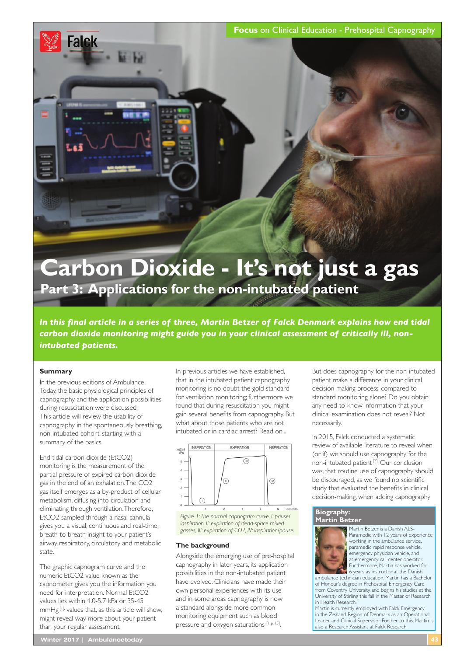**Focus** on Clinical Education - Prehospital Capnography

# **Carbon Dioxide - It's not just a gas Part 3: Applications for the non-intubated patient**

*In this fnal article in a series of three, Martin Betzer of Falck Denmark explains how end tidal carbon dioxide monitoring might guide you in your clinical assessment of critically ill, nonintubated patients.* 

## **Summary**

**Falck** 

In the previous editions of Ambulance Today, the basic physiological principles of capnography and the application possibilities during resuscitation were discussed. This article will review the usability of capnography in the spontaneously breathing, non-intubated cohort, starting with a summary of the basics.

End tidal carbon dioxide (EtCO2) monitoring is the measurement of the partial pressure of expired carbon dioxide gas in the end of an exhalation. The CO2 gas itself emerges as a by-product of cellular metabolism, diffusing into circulation and eliminating through ventilation. Therefore, EtCO2 sampled through a nasal cannula gives you a visual, continuous and real-time, breath-to-breath insight to your patient's airway, respiratory, circulatory and metabolic state.

The graphic capnogram curve and the numeric EtCO2 value known as the capnometer gives you the information you need for interpretation. Normal EtCO2 values lies within 4.0-5.7 kPa or 35-45 mmHg [1], values that, as this article will show, might reveal way more about your patient than your regular assessment.

In previous articles we have established, that in the intubated patient capnography monitoring is no doubt the gold standard for ventilation monitoring; furthermore we found that during resuscitation you might gain several benefts from capnography. But what about those patients who are not intubated or in cardiac arrest? Read on...



## **The background**

Alongside the emerging use of pre-hospital capnography in later years, its application possibilities in the non-intubated patient have evolved. Clinicians have made their own personal experiences with its use and in some areas capnography is now a standard alongside more common monitoring equipment such as blood pressure and oxygen saturations [1 p. 15].

But does capnography for the non-intubated patient make a difference in your clinical decision making process, compared to standard monitoring alone? Do you obtain any need-to-know information that your clinical examination does not reveal? Not necessarily.

In 2015, Falck conducted a systematic review of available literature to reveal when (or if) we should use capnography for the non-intubated patient [2]. Our conclusion was, that routine use of capnography should be discouraged, as we found no scientifc study that evaluated the benefts in clinical decision-making, when adding capnography

#### **Biography: Martin Betzer**



Martin Betzer is a Danish ALS-Paramedic with 12 years of experience working in the ambulance service, paramedic rapid response vehicle, emergency physician vehicle, and as emergency call-center operator Furthermore, Martin has worked for 6 years as instructor at the Danish

ambulance technician education. Martin has a Bachelor of Honour's degree in Prehospital Emergency Care from Coventry University, and begins his studies at the University of Stirling this fall in the Master of Research in Health Research.

Martin is currently employed with Falck Emergency in the Zealand Region of Denmark as an Operational Leader and Clinical Supervisor. Further to this, Martin is also a Research Assistant at Falck Research.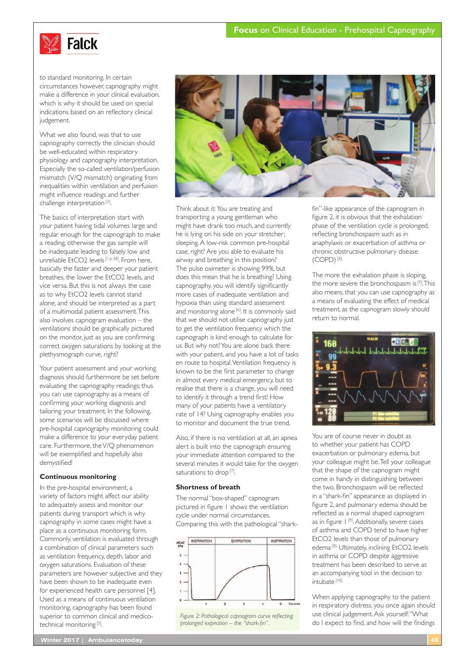

to standard monitoring. In certain circumstances however, capnography might make a difference in your clinical evaluation, which is why it should be used on special indications based on an refectory clinical judgement.

What we also found, was that to use capnography correctly the clinician should be well-educated within respiratory physiology and capnography interpretation. Especially the so-called ventilation/perfusion mismatch (V/Q mismatch) originating from inequalities within ventilation and perfusion might infuence readings and further challenge interpretation [3].

The basics of interpretation start with your patient having tidal volumes large and regular enough for the capnograph to make a reading, otherwise the gas sample will be inadequate leading to falsely low and unreliable EtCO2 levels [1 p.58]. From here, basically the faster and deeper your patient breathes, the lower the EtCO2 levels, and vice versa. But this is not always the case as to why EtCO2 levels cannot stand alone, and should be interpreted as a part of a multimodal patient assessment. This also involves capnogram evaluation – the ventilations should be graphically pictured on the monitor, just as you are confrming correct oxygen saturations by looking at the plethysmograph curve, right?

Your patient assessment and your working diagnosis should furthermore be set before evaluating the capnography readings; thus you can use capnography as a means of confrming your working diagnosis and tailoring your treatment. In the following, some scenarios will be discussed where pre-hospital capnography monitoring could make a difference to your everyday patient care. Furthermore, the V/Q phenomenon will be exemplifed and hopefully also demystifed!

# **Continuous monitoring**

In the pre-hospital environment, a variety of factors might affect our ability to adequately assess and monitor our patients during transport which is why capnography in some cases might have a place as a continuous monitoring form. Commonly, ventilation is evaluated through a combination of clinical parameters such as ventilation frequency, depth, labor and oxygen saturations. Evaluation of these parameters are however subjective and they have been shown to be inadequate even for experienced health care personnel [4]. Used as a means of continuous ventilation monitoring, capnography has been found superior to common clinical and medicotechnical monitoring [5].



Think about it: You are treating and transporting a young gentleman who might have drank too much, and currently he is lying on his side on your stretcher; sleeping. A low-risk common pre-hospital case, right? Are you able to evaluate his airway and breathing in this position? The pulse oximeter is showing 99%, but does this mean that he is breathing? Using capnography, you will identify signifcantly more cases of inadequate ventilation and hypoxia than using standard assessment and monitoring alone<sup>[6]</sup>. It is commonly said that we should not utilise capnography just to get the ventilation frequency which the capnograph is kind enough to calculate for us. But why not? You are alone back there with your patient, and you have a lot of tasks en route to hospital. Ventilation frequency is known to be the frst parameter to change in almost every medical emergency, but to realise that there is a change, you will need to identify it through a trend frst! How many of your patients have a ventilatory rate of 14? Using capnography enables you to monitor and document the true trend.

Also, if there is no ventilation at all, an apnea alert is built into the capnograph ensuring your immediate attention compared to the several minutes it would take for the oxygen saturations to drop<sup>[7]</sup>.

### **Shortness of breath**

The normal "box-shaped" capnogram pictured in fgure 1 shows the ventilation cycle under normal circumstances. Comparing this with the pathological "shark-



*Figure 2: Pathological capnogram curve refecting prolonged expiration – the "shark-fn".*

fn"-like appearance of the capnogram in fgure 2, it is obvious that the exhalation phase of the ventilation cycle is prolonged, refecting bronchospasm such as in anaphylaxis or exacerbation of asthma or chronic obstructive pulmonary disease (COPD) [8].

The more the exhalation phase is sloping, the more severe the bronchospasm is [9]. This also means, that you can use capnography as a means of evaluating the effect of medical treatment, as the capnogram slowly should return to normal.



You are of course never in doubt as to whether your patient has COPD exacerbation or pulmonary edema, but your colleague might be. Tell your colleague that the shape of the capnogram might come in handy in distinguishing between the two. Bronchospasm will be refected in a "shark-fn" appearance as displayed in fgure 2, and pulmonary edema should be refected as a normal shaped capnogram as in figure 1<sup>[9]</sup>. Additionally, severe cases of asthma and COPD tend to have higher EtCO2 levels than those of pulmonary edema [8]. Ultimately, inclining EtCO2 levels in asthma or COPD despite aggressive treatment has been described to serve as an accompanying tool in the decision to intubate [10].

When applying capnography to the patient in respiratory distress, you once again should use clinical judgement. Ask yourself: "What do I expect to fnd, and how will the fndings